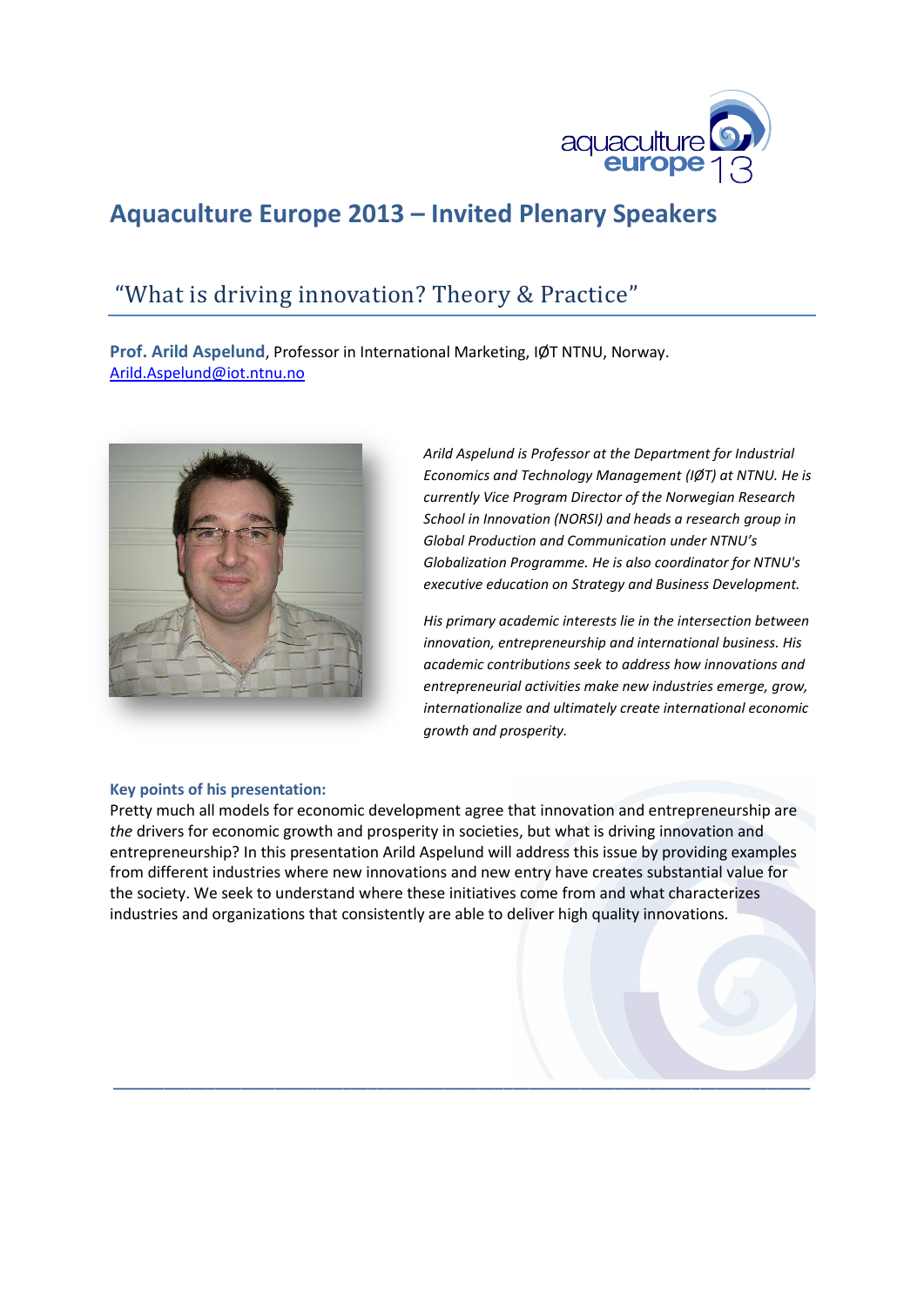

# **Aquaculture Europe 2013 – Invited Plenary Speakers**

## "What is driving innovation? Theory & Practice"

**Prof. Arild Aspelund**, Professor in International Marketing, IØT NTNU, Norway. [Arild.Aspelund@iot.ntnu.no](mailto:Arild.Aspelund@iot.ntnu.no)



*Arild Aspelund is Professor at the Department for Industrial Economics and Technology Management (IØT) at NTNU. He is currently Vice Program Director of the Norwegian Research School in Innovation (NORSI) and heads a research group in Global Production and Communication under NTNU's Globalization Programme. He is also coordinator for NTNU's executive education on Strategy and Business Development.*

*His primary academic interests lie in the intersection between innovation, entrepreneurship and international business. His academic contributions seek to address how innovations and entrepreneurial activities make new industries emerge, grow, internationalize and ultimately create international economic growth and prosperity.* 

### **Key points of his presentation:**

Pretty much all models for economic development agree that innovation and entrepreneurship are *the* drivers for economic growth and prosperity in societies, but what is driving innovation and entrepreneurship? In this presentation Arild Aspelund will address this issue by providing examples from different industries where new innovations and new entry have creates substantial value for the society. We seek to understand where these initiatives come from and what characterizes industries and organizations that consistently are able to deliver high quality innovations.

**\_\_\_\_\_\_\_\_\_\_\_\_\_\_\_\_\_\_\_\_\_\_\_\_\_\_\_\_\_\_\_\_\_\_\_\_\_\_\_\_\_\_\_\_\_\_\_\_\_\_\_\_\_\_\_\_\_\_\_\_\_\_\_\_\_\_\_\_\_\_\_\_\_\_\_\_\_\_\_\_\_\_**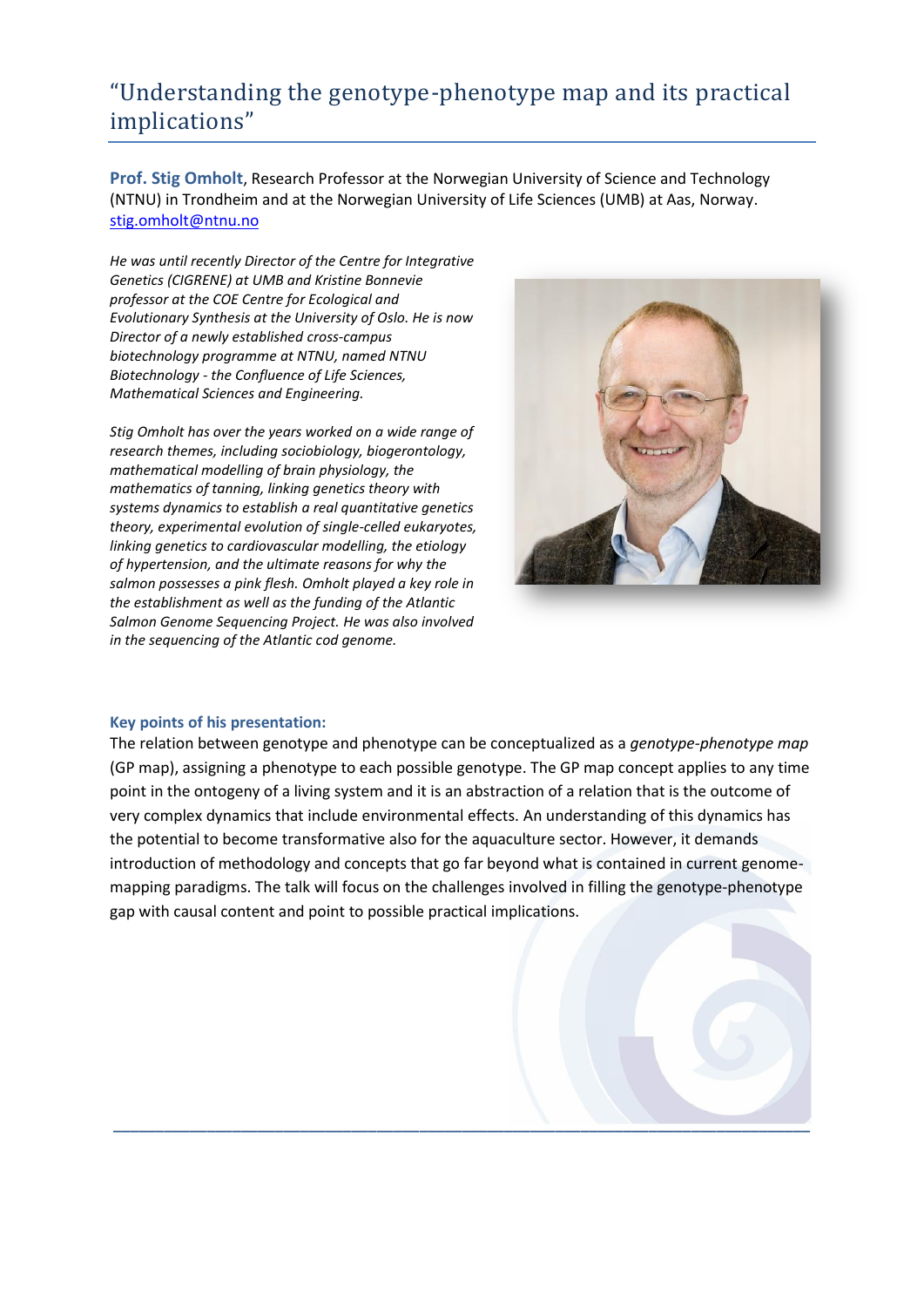## "Understanding the genotype-phenotype map and its practical implications"

**Prof. Stig Omholt**, Research Professor at the Norwegian University of Science and Technology (NTNU) in Trondheim and at the Norwegian University of Life Sciences (UMB) at Aas, Norway. [stig.omholt@ntnu.no](mailto:stig.omholt@ntnu.no)

*He was until recently Director of the Centre for Integrative Genetics (CIGRENE) at UMB and Kristine Bonnevie professor at the COE Centre for Ecological and Evolutionary Synthesis at the University of Oslo. He is now Director of a newly established cross-campus biotechnology programme at NTNU, named NTNU Biotechnology - the Confluence of Life Sciences, Mathematical Sciences and Engineering.* 

*Stig Omholt has over the years worked on a wide range of research themes, including sociobiology, biogerontology, mathematical modelling of brain physiology, the mathematics of tanning, linking genetics theory with systems dynamics to establish a real quantitative genetics theory, experimental evolution of single-celled eukaryotes, linking genetics to cardiovascular modelling, the etiology of hypertension, and the ultimate reasons for why the salmon possesses a pink flesh. Omholt played a key role in the establishment as well as the funding of the Atlantic Salmon Genome Sequencing Project. He was also involved in the sequencing of the Atlantic cod genome.* 



### **Key points of his presentation:**

The relation between genotype and phenotype can be conceptualized as a *genotype-phenotype map*  (GP map), assigning a phenotype to each possible genotype. The GP map concept applies to any time point in the ontogeny of a living system and it is an abstraction of a relation that is the outcome of very complex dynamics that include environmental effects. An understanding of this dynamics has the potential to become transformative also for the aquaculture sector. However, it demands introduction of methodology and concepts that go far beyond what is contained in current genomemapping paradigms. The talk will focus on the challenges involved in filling the genotype-phenotype gap with causal content and point to possible practical implications.

**\_\_\_\_\_\_\_\_\_\_\_\_\_\_\_\_\_\_\_\_\_\_\_\_\_\_\_\_\_\_\_\_\_\_\_\_\_\_\_\_\_\_\_\_\_\_\_\_\_\_\_\_\_\_\_\_\_\_\_\_\_\_\_\_\_\_\_\_\_\_\_\_\_\_\_\_\_\_\_\_\_\_**